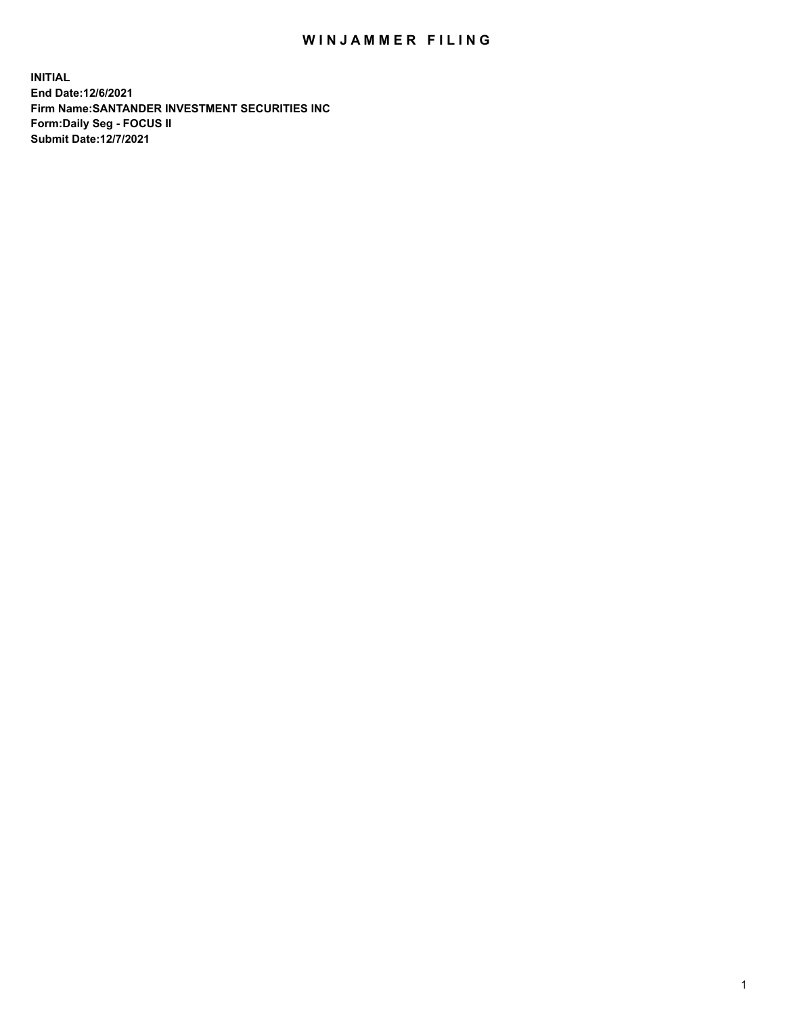## WIN JAMMER FILING

**INITIAL End Date:12/6/2021 Firm Name:SANTANDER INVESTMENT SECURITIES INC Form:Daily Seg - FOCUS II Submit Date:12/7/2021**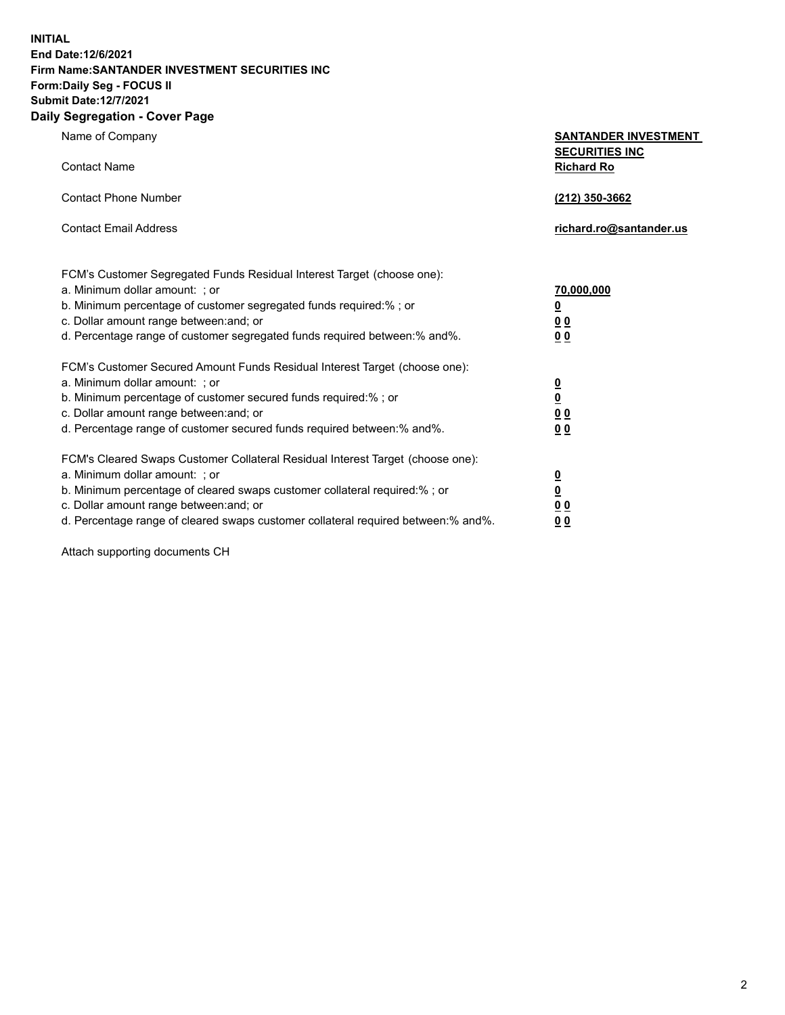**INITIAL End Date:12/6/2021 Firm Name:SANTANDER INVESTMENT SECURITIES INC Form:Daily Seg - FOCUS II Submit Date:12/7/2021 Daily Segregation - Cover Page**

| Name of Company                                                                   | <b>SANTANDER INVESTMENT</b>                |
|-----------------------------------------------------------------------------------|--------------------------------------------|
| <b>Contact Name</b>                                                               | <b>SECURITIES INC</b><br><b>Richard Ro</b> |
| <b>Contact Phone Number</b>                                                       | (212) 350-3662                             |
| <b>Contact Email Address</b>                                                      | richard.ro@santander.us                    |
| FCM's Customer Segregated Funds Residual Interest Target (choose one):            |                                            |
| a. Minimum dollar amount: ; or                                                    | 70,000,000                                 |
| b. Minimum percentage of customer segregated funds required:% ; or                | $\overline{\mathbf{0}}$                    |
| c. Dollar amount range between: and; or                                           | 0 <sub>0</sub>                             |
| d. Percentage range of customer segregated funds required between:% and%.         | 0 <sub>0</sub>                             |
| FCM's Customer Secured Amount Funds Residual Interest Target (choose one):        |                                            |
| a. Minimum dollar amount: ; or                                                    | $\frac{0}{0}$                              |
| b. Minimum percentage of customer secured funds required:%; or                    |                                            |
| c. Dollar amount range between: and; or                                           | 0 <sub>0</sub>                             |
| d. Percentage range of customer secured funds required between:% and%.            | 0 <sub>0</sub>                             |
| FCM's Cleared Swaps Customer Collateral Residual Interest Target (choose one):    |                                            |
| a. Minimum dollar amount: ; or                                                    | $\frac{0}{0}$                              |
| b. Minimum percentage of cleared swaps customer collateral required:% ; or        |                                            |
| c. Dollar amount range between: and; or                                           | 00                                         |
| d. Percentage range of cleared swaps customer collateral required between:% and%. | 0 <sub>0</sub>                             |

Attach supporting documents CH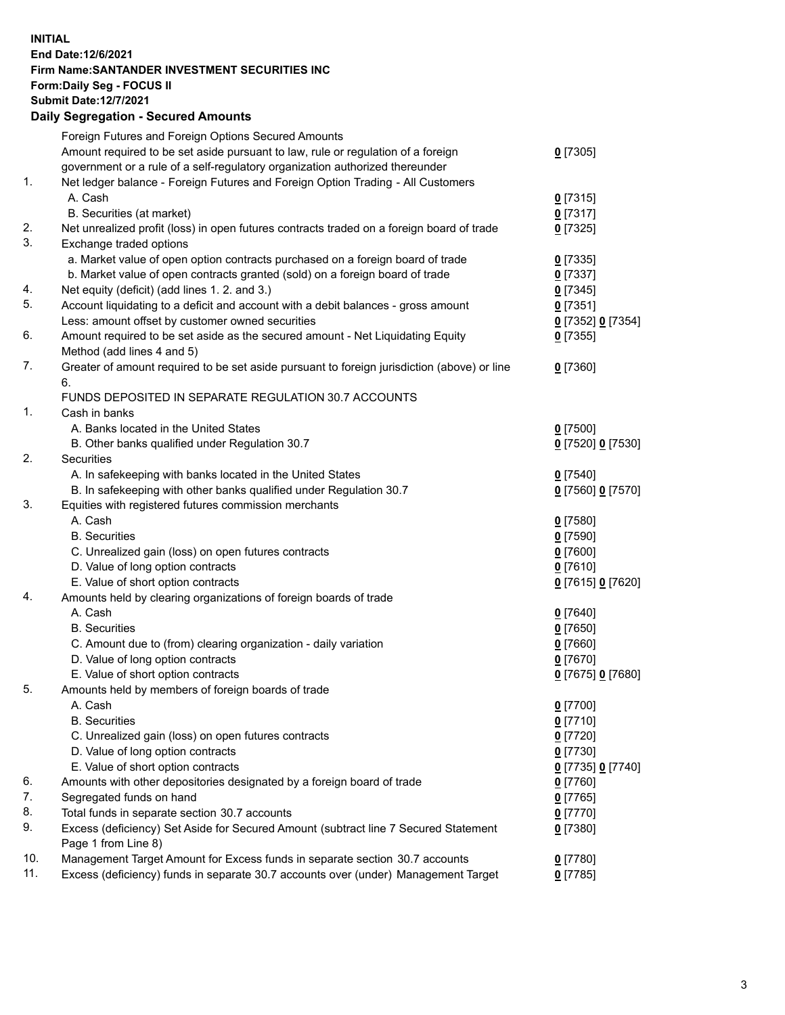**INITIAL End Date:12/6/2021 Firm Name:SANTANDER INVESTMENT SECURITIES INC Form:Daily Seg - FOCUS II Submit Date:12/7/2021 Daily Segregation - Secured Amounts**

|     | Foreign Futures and Foreign Options Secured Amounts                                                        |                   |
|-----|------------------------------------------------------------------------------------------------------------|-------------------|
|     | Amount required to be set aside pursuant to law, rule or regulation of a foreign                           | $0$ [7305]        |
|     | government or a rule of a self-regulatory organization authorized thereunder                               |                   |
| 1.  | Net ledger balance - Foreign Futures and Foreign Option Trading - All Customers                            |                   |
|     | A. Cash                                                                                                    | $0$ [7315]        |
|     | B. Securities (at market)                                                                                  | $0$ [7317]        |
| 2.  | Net unrealized profit (loss) in open futures contracts traded on a foreign board of trade                  | $0$ [7325]        |
| 3.  | Exchange traded options                                                                                    |                   |
|     | a. Market value of open option contracts purchased on a foreign board of trade                             | $0$ [7335]        |
|     | b. Market value of open contracts granted (sold) on a foreign board of trade                               | $0$ [7337]        |
| 4.  | Net equity (deficit) (add lines 1. 2. and 3.)                                                              | $0$ [7345]        |
| 5.  | Account liquidating to a deficit and account with a debit balances - gross amount                          | $0$ [7351]        |
|     | Less: amount offset by customer owned securities                                                           | 0 [7352] 0 [7354] |
| 6.  | Amount required to be set aside as the secured amount - Net Liquidating Equity                             | $0$ [7355]        |
|     | Method (add lines 4 and 5)                                                                                 |                   |
| 7.  | Greater of amount required to be set aside pursuant to foreign jurisdiction (above) or line                | $0$ [7360]        |
|     | 6.                                                                                                         |                   |
|     | FUNDS DEPOSITED IN SEPARATE REGULATION 30.7 ACCOUNTS                                                       |                   |
| 1.  | Cash in banks                                                                                              |                   |
|     | A. Banks located in the United States                                                                      | $0$ [7500]        |
|     | B. Other banks qualified under Regulation 30.7                                                             | 0 [7520] 0 [7530] |
| 2.  | Securities                                                                                                 |                   |
|     | A. In safekeeping with banks located in the United States                                                  | $0$ [7540]        |
|     | B. In safekeeping with other banks qualified under Regulation 30.7                                         | 0 [7560] 0 [7570] |
| 3.  | Equities with registered futures commission merchants                                                      |                   |
|     | A. Cash                                                                                                    | $0$ [7580]        |
|     | <b>B.</b> Securities                                                                                       | $0$ [7590]        |
|     | C. Unrealized gain (loss) on open futures contracts                                                        | $0$ [7600]        |
|     | D. Value of long option contracts                                                                          | $0$ [7610]        |
|     | E. Value of short option contracts                                                                         | 0 [7615] 0 [7620] |
| 4.  | Amounts held by clearing organizations of foreign boards of trade                                          |                   |
|     | A. Cash                                                                                                    | $0$ [7640]        |
|     | <b>B.</b> Securities                                                                                       | $0$ [7650]        |
|     | C. Amount due to (from) clearing organization - daily variation                                            | $0$ [7660]        |
|     | D. Value of long option contracts                                                                          | $0$ [7670]        |
|     | E. Value of short option contracts                                                                         | 0 [7675] 0 [7680] |
| 5.  | Amounts held by members of foreign boards of trade                                                         |                   |
|     | A. Cash                                                                                                    | 0 [7700]          |
|     | <b>B.</b> Securities                                                                                       | $0$ [7710]        |
|     | C. Unrealized gain (loss) on open futures contracts                                                        | $0$ [7720]        |
|     | D. Value of long option contracts                                                                          | $0$ [7730]        |
|     | E. Value of short option contracts                                                                         | 0 [7735] 0 [7740] |
| 6.  | Amounts with other depositories designated by a foreign board of trade                                     | $0$ [7760]        |
| 7.  | Segregated funds on hand                                                                                   | $0$ [7765]        |
| 8.  | Total funds in separate section 30.7 accounts                                                              | $0$ [7770]        |
| 9.  | Excess (deficiency) Set Aside for Secured Amount (subtract line 7 Secured Statement<br>Page 1 from Line 8) | $0$ [7380]        |
| 10. | Management Target Amount for Excess funds in separate section 30.7 accounts                                | $0$ [7780]        |
| 11. | Excess (deficiency) funds in separate 30.7 accounts over (under) Management Target                         | $0$ [7785]        |
|     |                                                                                                            |                   |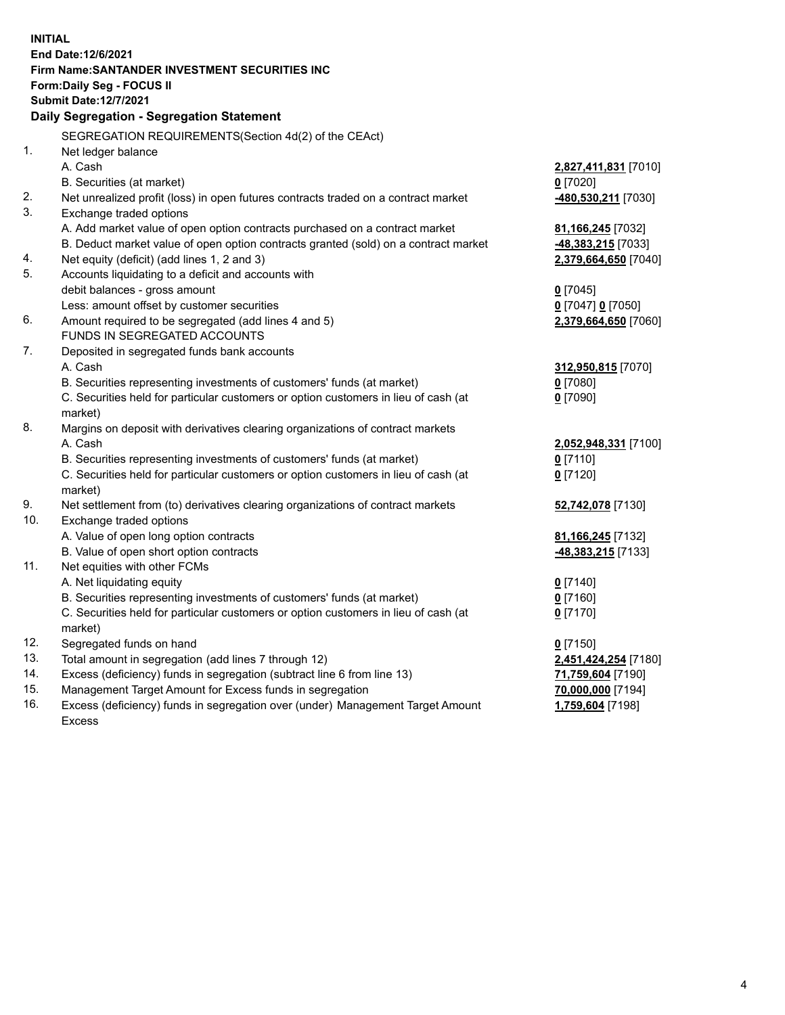| <b>INITIAL</b> |                                                                                     |                           |
|----------------|-------------------------------------------------------------------------------------|---------------------------|
|                | End Date: 12/6/2021                                                                 |                           |
|                | Firm Name: SANTANDER INVESTMENT SECURITIES INC                                      |                           |
|                | Form: Daily Seg - FOCUS II                                                          |                           |
|                | <b>Submit Date:12/7/2021</b>                                                        |                           |
|                | Daily Segregation - Segregation Statement                                           |                           |
|                | SEGREGATION REQUIREMENTS(Section 4d(2) of the CEAct)                                |                           |
| 1.             | Net ledger balance                                                                  |                           |
|                | A. Cash                                                                             | 2,827,411,831 [7010]      |
|                | B. Securities (at market)                                                           | $0$ [7020]                |
| 2.             | Net unrealized profit (loss) in open futures contracts traded on a contract market  | 480,530,211 [7030]        |
| 3.             | Exchange traded options                                                             |                           |
|                | A. Add market value of open option contracts purchased on a contract market         | 81,166,245 [7032]         |
|                | B. Deduct market value of open option contracts granted (sold) on a contract market | <b>-48,383,215</b> [7033] |
| 4.             | Net equity (deficit) (add lines 1, 2 and 3)                                         | 2,379,664,650 [7040]      |
| 5.             | Accounts liquidating to a deficit and accounts with                                 |                           |
|                | debit balances - gross amount                                                       | $0$ [7045]                |
|                | Less: amount offset by customer securities                                          | 0 [7047] 0 [7050]         |
| 6.             | Amount required to be segregated (add lines 4 and 5)                                | 2,379,664,650 [7060]      |
|                | FUNDS IN SEGREGATED ACCOUNTS                                                        |                           |
| 7.             | Deposited in segregated funds bank accounts                                         |                           |
|                | A. Cash                                                                             | 312,950,815 [7070]        |
|                | B. Securities representing investments of customers' funds (at market)              | $0$ [7080]                |
|                | C. Securities held for particular customers or option customers in lieu of cash (at | $0$ [7090]                |
|                | market)                                                                             |                           |
| 8.             | Margins on deposit with derivatives clearing organizations of contract markets      |                           |
|                | A. Cash                                                                             | 2,052,948,331 [7100]      |
|                | B. Securities representing investments of customers' funds (at market)              | $0$ [7110]                |
|                | C. Securities held for particular customers or option customers in lieu of cash (at | $0$ [7120]                |
|                | market)                                                                             |                           |
| 9.             | Net settlement from (to) derivatives clearing organizations of contract markets     | 52,742,078 [7130]         |
| 10.            | Exchange traded options                                                             |                           |
|                | A. Value of open long option contracts                                              | 81,166,245 [7132]         |
|                | B. Value of open short option contracts                                             | -48,383,215 [7133]        |
| 11.            | Net equities with other FCMs                                                        |                           |
|                | A. Net liquidating equity                                                           | $0$ [7140]                |
|                | B. Securities representing investments of customers' funds (at market)              | $0$ [7160]                |
|                | C. Securities held for particular customers or option customers in lieu of cash (at | $0$ [7170]                |
|                | market)                                                                             |                           |
| 12.            | Segregated funds on hand                                                            | $0$ [7150]                |
| 13.            | Total amount in segregation (add lines 7 through 12)                                | 2,451,424,254 [7180]      |
| 14.            | Excess (deficiency) funds in segregation (subtract line 6 from line 13)             | 71,759,604 [7190]         |
| 15.            | Management Target Amount for Excess funds in segregation                            | 70,000,000 [7194]         |
| 16.            | Excess (deficiency) funds in segregation over (under) Management Target Amount      | 1,759,604 [7198]          |
|                | <b>Excess</b>                                                                       |                           |